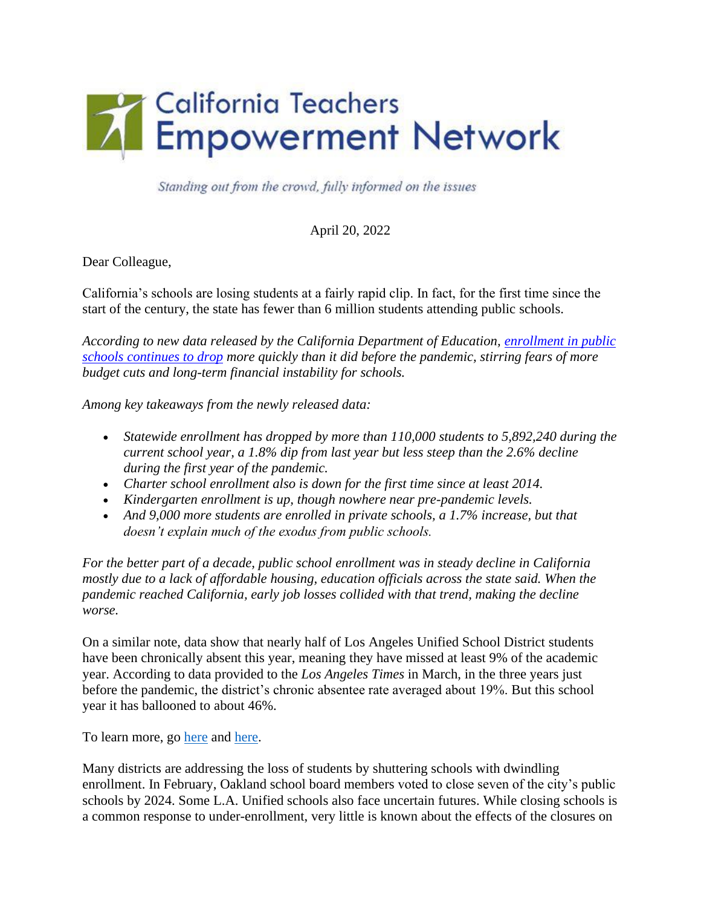

Standing out from the crowd, fully informed on the issues

April 20, 2022

Dear Colleague,

California's schools are losing students at a fairly rapid clip. In fact, for the first time since the start of the century, the state has fewer than 6 million students attending public schools.

*According to new data released by the California Department of Education, [enrollment in public](https://calmatters.org/education/2022/01/california-schools-budgets/)  [schools continues to drop](https://calmatters.org/education/2022/01/california-schools-budgets/) more quickly than it did before the pandemic, stirring fears of more budget cuts and long-term financial instability for schools.*

*Among key takeaways from the newly released data:*

- *Statewide enrollment has dropped by more than 110,000 students to 5,892,240 during the current school year, a 1.8% dip from last year but less steep than the 2.6% decline during the first year of the pandemic.*
- *Charter school enrollment also is down for the first time since at least 2014.*
- *Kindergarten enrollment is up, though nowhere near pre-pandemic levels.*
- And 9,000 more students are enrolled in private schools, a 1.7% increase, but that *doesn't explain much of the exodus from public schools.*

*For the better part of a decade, public school enrollment was in steady decline in California mostly due to a lack of affordable housing, education officials across the state said. When the pandemic reached California, early job losses collided with that trend, making the decline worse.*

On a similar note, data show that nearly half of Los Angeles Unified School District students have been chronically absent this year, meaning they have missed at least 9% of the academic year. According to data provided to the *Los Angeles Times* in March, in the three years just before the pandemic, the district's chronic absentee rate averaged about 19%. But this school year it has ballooned to about 46%.

To learn more, go [here](https://calmatters.org/education/k-12-education/2022/04/california-public-school-enrollment/) and [here.](https://www.latimes.com/california/story/2022-03-31/lausd-students-chronic-absent-amid-covid-pandemic)

Many districts are addressing the loss of students by shuttering schools with dwindling enrollment. In February, Oakland school board members voted to close seven of the city's public schools by 2024. Some L.A. Unified schools also face uncertain futures. While closing schools is a common response to under-enrollment, very little is known about the effects of the closures on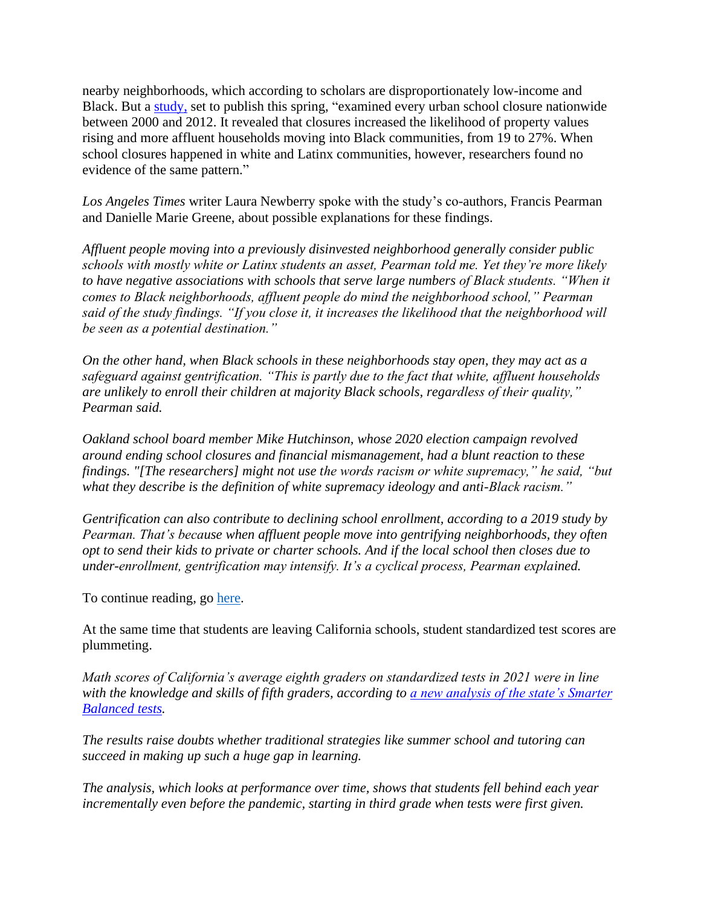nearby neighborhoods, which according to scholars are disproportionately low-income and Black. But a [study,](https://cepa.stanford.edu/sites/default/files/wp21-02-v022022.pdf) set to publish this spring, "examined every urban school closure nationwide between 2000 and 2012. It revealed that closures increased the likelihood of property values rising and more affluent households moving into Black communities, from 19 to 27%. When school closures happened in white and Latinx communities, however, researchers found no evidence of the same pattern."

*Los Angeles Times* writer Laura Newberry spoke with the study's co-authors, Francis Pearman and Danielle Marie Greene, about possible explanations for these findings.

*Affluent people moving into a previously disinvested neighborhood generally consider public schools with mostly white or Latinx students an asset, Pearman told me. Yet they're more likely to have negative associations with schools that serve large numbers of Black students. "When it comes to Black neighborhoods, affluent people do mind the neighborhood school," Pearman said of the study findings. "If you close it, it increases the likelihood that the neighborhood will be seen as a potential destination."* 

*On the other hand, when Black schools in these neighborhoods stay open, they may act as a safeguard against gentrification. "This is partly due to the fact that white, affluent households are unlikely to enroll their children at majority Black schools, regardless of their quality," Pearman said.*

*Oakland school board member Mike Hutchinson, whose 2020 election campaign revolved around ending school closures and financial mismanagement, had a blunt reaction to these findings. "[The researchers] might not use the words racism or white supremacy," he said, "but what they describe is the definition of white supremacy ideology and anti-Black racism."*

*Gentrification can also contribute to declining school enrollment, according to a 2019 study by Pearman. That's because when affluent people move into gentrifying neighborhoods, they often opt to send their kids to private or charter schools. And if the local school then closes due to under-enrollment, gentrification may intensify. It's a cyclical process, Pearman explained.*

To continue reading, go [here.](https://www.latimes.com/california/newsletter/2022-04-11/how-shuttering-schools-can-speed-up-gentrification-8-to-3)

At the same time that students are leaving California schools, student standardized test scores are plummeting.

*Math scores of California's average eighth graders on standardized tests in 2021 were in line with the knowledge and skills of fifth graders, according to [a new analysis of the state's Smarter](https://edsource.org/2022/californias-detailed-test-data-gives-it-an-advantage-for-the-road-ahead/669450)  [Balanced tests.](https://edsource.org/2022/californias-detailed-test-data-gives-it-an-advantage-for-the-road-ahead/669450)*

*The results raise doubts whether traditional strategies like summer school and tutoring can succeed in making up such a huge gap in learning.*

*The analysis, which looks at performance over time, shows that students fell behind each year incrementally even before the pandemic, starting in third grade when tests were first given.*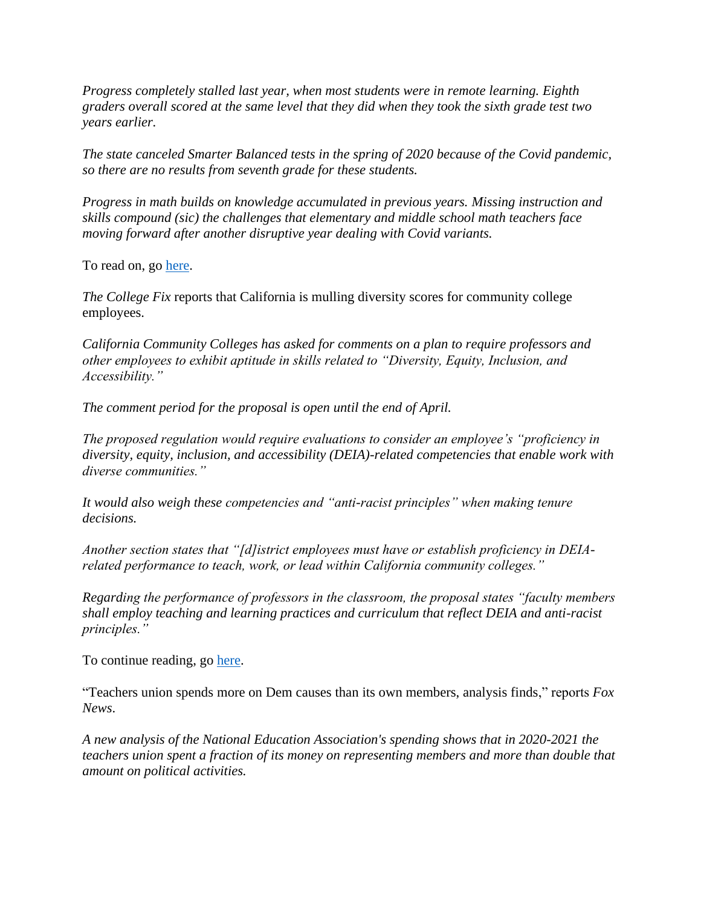*Progress completely stalled last year, when most students were in remote learning. Eighth graders overall scored at the same level that they did when they took the sixth grade test two years earlier.*

*The state canceled Smarter Balanced tests in the spring of 2020 because of the Covid pandemic, so there are no results from seventh grade for these students.*

*Progress in math builds on knowledge accumulated in previous years. Missing instruction and skills compound (sic) the challenges that elementary and middle school math teachers face moving forward after another disruptive year dealing with Covid variants.*

To read on, go [here.](https://edsource.org/2022/student-math-scores-a-five-alarm-fire-in-california/669797)

*The College Fix* reports that California is mulling diversity scores for community college employees.

*California Community Colleges has asked for comments on a plan to require professors and other employees to exhibit aptitude in skills related to "Diversity, Equity, Inclusion, and Accessibility."*

*The comment period for the proposal is open until the end of April.*

*The proposed regulation would require evaluations to consider an employee's "proficiency in diversity, equity, inclusion, and accessibility (DEIA)-related competencies that enable work with diverse communities."*

*It would also weigh these competencies and "anti-racist principles" when making tenure decisions.*

*Another section states that "[d]istrict employees must have or establish proficiency in DEIArelated performance to teach, work, or lead within California community colleges."*

*Regarding the performance of professors in the classroom, the proposal states "faculty members shall employ teaching and learning practices and curriculum that reflect DEIA and anti-racist principles."*

To continue reading, go [here.](https://www.thecollegefix.com/california-mulls-diversity-scores-for-community-college-employees/)

"Teachers union spends more on Dem causes than its own members, analysis finds," reports *Fox News*.

*A new analysis of the National Education Association's spending shows that in 2020-2021 the teachers union spent a fraction of its money on representing members and more than double that amount on political activities.*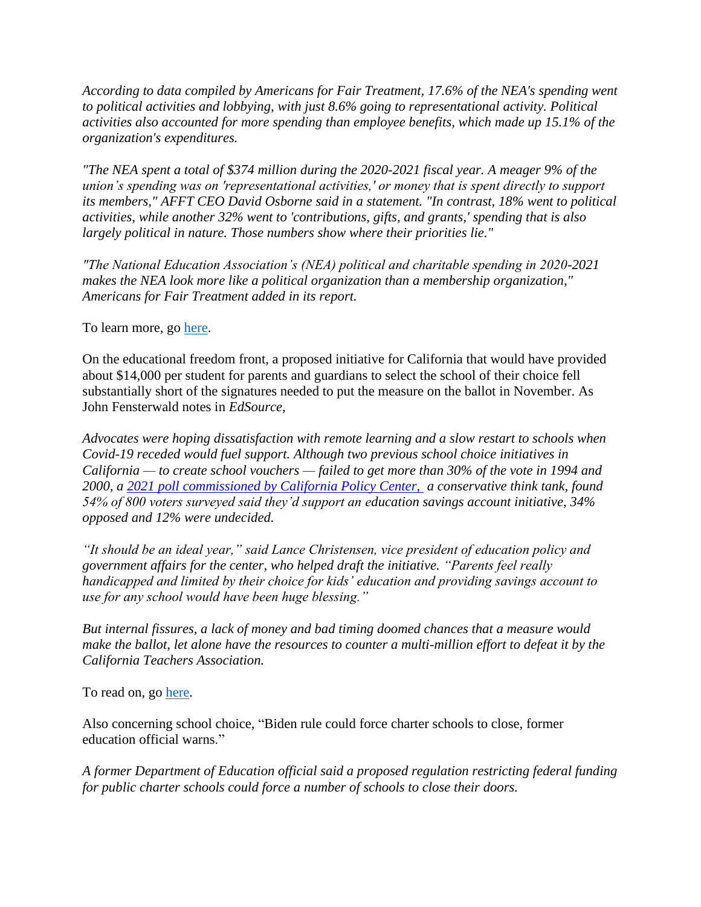*According to data compiled by Americans for Fair Treatment, 17.6% of the NEA's spending went to political activities and lobbying, with just 8.6% going to representational activity. Political activities also accounted for more spending than employee benefits, which made up 15.1% of the organization's expenditures.*

*"The NEA spent a total of \$374 million during the 2020-2021 fiscal year. A meager 9% of the union's spending was on 'representational activities,' or money that is spent directly to support its members," AFFT CEO David Osborne said in a statement. "In contrast, 18% went to political activities, while another 32% went to 'contributions, gifts, and grants,' spending that is also largely political in nature. Those numbers show where their priorities lie."*

*"The National Education Association's (NEA) political and charitable spending in 2020-2021 makes the NEA look more like a political organization than a membership organization," Americans for Fair Treatment added in its report.*

To learn more, go [here.](https://www.foxnews.com/politics/teachers-union-spending-democratic-causes-its-own-members-analysis)

On the educational freedom front, a proposed initiative for California that would have provided about \$14,000 per student for parents and guardians to select the school of their choice fell substantially short of the signatures needed to put the measure on the ballot in November. As John Fensterwald notes in *EdSource,*

*Advocates were hoping dissatisfaction with remote learning and a slow restart to schools when Covid-19 receded would fuel support. Although two previous school choice initiatives in California — to create school vouchers — failed to get more than 30% of the vote in 1994 and 2000, a [2021 poll commissioned by California Policy Center,](https://californiapolicycenter.org/wp-content/uploads/2021/06/2021-Voter-Survey-Toplines.pdf) a conservative think tank, found 54% of 800 voters surveyed said they'd support an education savings account initiative, 34% opposed and 12% were undecided.*

*"It should be an ideal year," said Lance Christensen, vice president of education policy and government affairs for the center, who helped draft the initiative. "Parents feel really handicapped and limited by their choice for kids' education and providing savings account to use for any school would have been huge blessing."*

*But internal fissures, a lack of money and bad timing doomed chances that a measure would make the ballot, let alone have the resources to counter a multi-million effort to defeat it by the California Teachers Association.*

To read on, go [here.](https://edsource.org/2022/school-choice-backers-fail-to-put-measure-on-californias-november-ballot/670078)

Also concerning school choice, "Biden rule could force charter schools to close, former education official warns."

*A former Department of Education official said a proposed regulation restricting federal funding for public charter schools could force a number of schools to close their doors.*